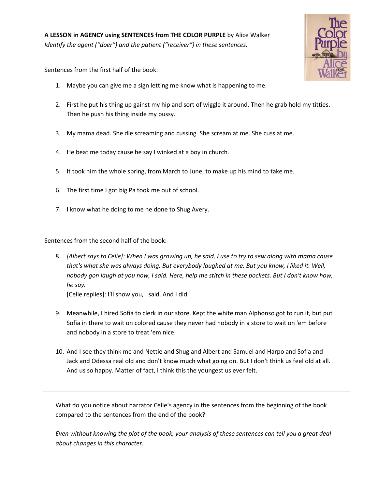

## Sentences from the first half of the book:

- 1. Maybe you can give me a sign letting me know what is happening to me.
- 2. First he put his thing up gainst my hip and sort of wiggle it around. Then he grab hold my titties. Then he push his thing inside my pussy.
- 3. My mama dead. She die screaming and cussing. She scream at me. She cuss at me.
- 4. He beat me today cause he say I winked at a boy in church.
- 5. It took him the whole spring, from March to June, to make up his mind to take me.
- 6. The first time I got big Pa took me out of school.
- 7. I know what he doing to me he done to Shug Avery.

## Sentences from the second half of the book:

8. *[Albert says to Celie]: When I was growing up, he said, I use to try to sew along with mama cause that's what she was always doing. But everybody laughed at me. But you know, I liked it. Well, nobody gon laugh at you now, I said. Here, help me stitch in these pockets. But I don't know how, he say.*

[Celie replies]: I'll show you, I said. And I did.

- 9. Meanwhile, I hired Sofia to clerk in our store. Kept the white man Alphonso got to run it, but put Sofia in there to wait on colored cause they never had nobody in a store to wait on 'em before and nobody in a store to treat 'em nice.
- 10. And I see they think me and Nettie and Shug and Albert and Samuel and Harpo and Sofia and Jack and Odessa real old and don't know much what going on. But I don't think us feel old at all. And us so happy. Matter of fact, I think this the youngest us ever felt.

What do you notice about narrator Celie's agency in the sentences from the beginning of the book compared to the sentences from the end of the book?

*Even without knowing the plot of the book, your analysis of these sentences can tell you a great deal about changes in this character.*